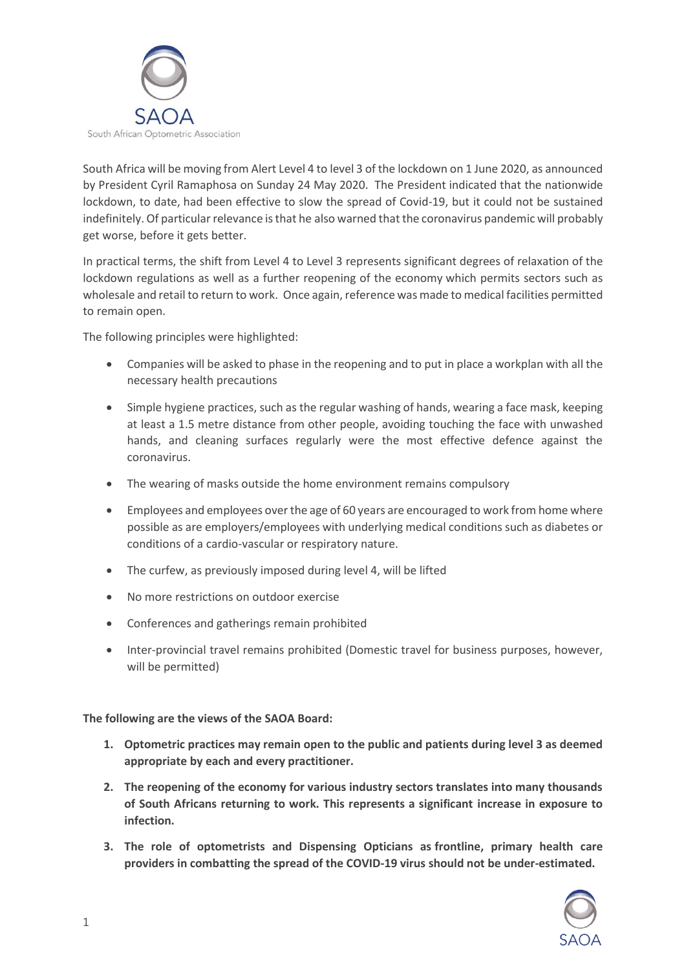

South Africa will be moving from Alert Level 4 to level 3 of the lockdown on 1 June 2020, as announced by President Cyril Ramaphosa on Sunday 24 May 2020. The President indicated that the nationwide lockdown, to date, had been effective to slow the spread of Covid-19, but it could not be sustained indefinitely. Of particular relevance is that he also warned that the coronavirus pandemic will probably get worse, before it gets better.

In practical terms, the shift from Level 4 to Level 3 represents significant degrees of relaxation of the lockdown regulations as well as a further reopening of the economy which permits sectors such as wholesale and retail to return to work. Once again, reference was made to medical facilities permitted to remain open.

The following principles were highlighted:

- Companies will be asked to phase in the reopening and to put in place a workplan with all the necessary health precautions
- Simple hygiene practices, such as the regular washing of hands, wearing a face mask, keeping at least a 1.5 metre distance from other people, avoiding touching the face with unwashed hands, and cleaning surfaces regularly were the most effective defence against the coronavirus.
- The wearing of masks outside the home environment remains compulsory
- Employees and employees over the age of 60 years are encouraged to work from home where possible as are employers/employees with underlying medical conditions such as diabetes or conditions of a cardio-vascular or respiratory nature.
- The curfew, as previously imposed during level 4, will be lifted
- No more restrictions on outdoor exercise
- Conferences and gatherings remain prohibited
- Inter-provincial travel remains prohibited (Domestic travel for business purposes, however, will be permitted)

**The following are the views of the SAOA Board:**

- **1. Optometric practices may remain open to the public and patients during level 3 as deemed appropriate by each and every practitioner.**
- **2. The reopening of the economy for various industry sectors translates into many thousands of South Africans returning to work. This represents a significant increase in exposure to infection.**
- **3. The role of optometrists and Dispensing Opticians as frontline, primary health care providers in combatting the spread of the COVID-19 virus should not be under-estimated.**